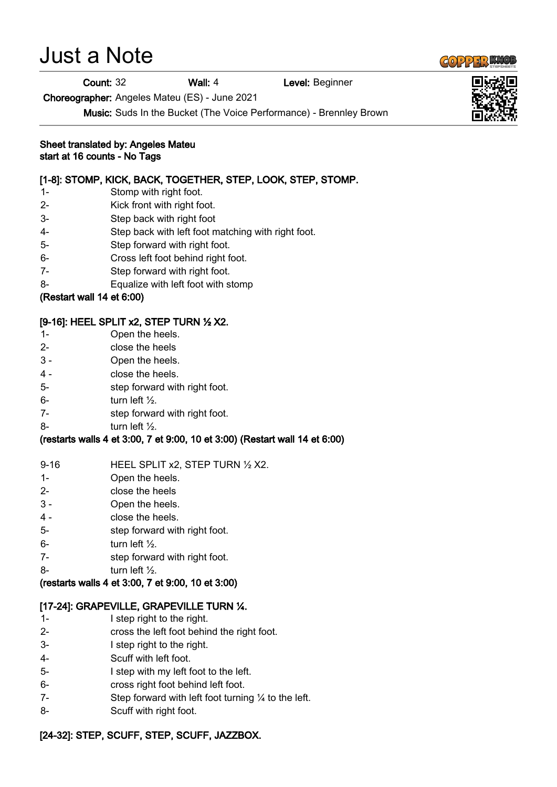# Just a Note

#### Count: 32 Wall: 4 Level: Beginner

Choreographer: Angeles Mateu (ES) - June 2021

Music: Suds In the Bucket (The Voice Performance) - Brennley Brown

Sheet translated by: Angeles Mateu start at 16 counts - No Tags

## [1-8]: STOMP, KICK, BACK, TOGETHER, STEP, LOOK, STEP, STOMP.

- 1- Stomp with right foot.
- 2- Kick front with right foot.
- 3- Step back with right foot
- 4- Step back with left foot matching with right foot.
- 5- Step forward with right foot.
- 6- Cross left foot behind right foot.
- 7- Step forward with right foot.
- 8- Equalize with left foot with stomp

## (Restart wall 14 et 6:00)

## [9-16]: HEEL SPLIT x2, STEP TURN ½ X2.

- 1- Open the heels.
- 2- close the heels
- 3 Open the heels.
- 4 close the heels.
- 5- step forward with right foot.
- $6-$  turn left  $\frac{1}{2}$ .
- 7- step forward with right foot.
- $8-$  turn left  $\frac{1}{2}$ .

## (restarts walls 4 et 3:00, 7 et 9:00, 10 et 3:00) (Restart wall 14 et 6:00)

- 9-16 HEEL SPLIT x2, STEP TURN 1/2 X2.
- 1- Open the heels.
- 2- close the heels
- 3 Open the heels.
- 4 close the heels.
- 5- step forward with right foot.
- $6-$  turn left  $\frac{1}{2}$ .
- 7- step forward with right foot.
- 8- turn left ½.

#### (restarts walls 4 et 3:00, 7 et 9:00, 10 et 3:00)

#### [17-24]: GRAPEVILLE, GRAPEVILLE TURN ¼.

- 1- I step right to the right.
- 2- cross the left foot behind the right foot.
- 3- I step right to the right.
- 4- Scuff with left foot.
- 5- I step with my left foot to the left.
- 6- cross right foot behind left foot.
- 7- Step forward with left foot turning ¼ to the left.
- 8- Scuff with right foot.

# [24-32]: STEP, SCUFF, STEP, SCUFF, JAZZBOX.